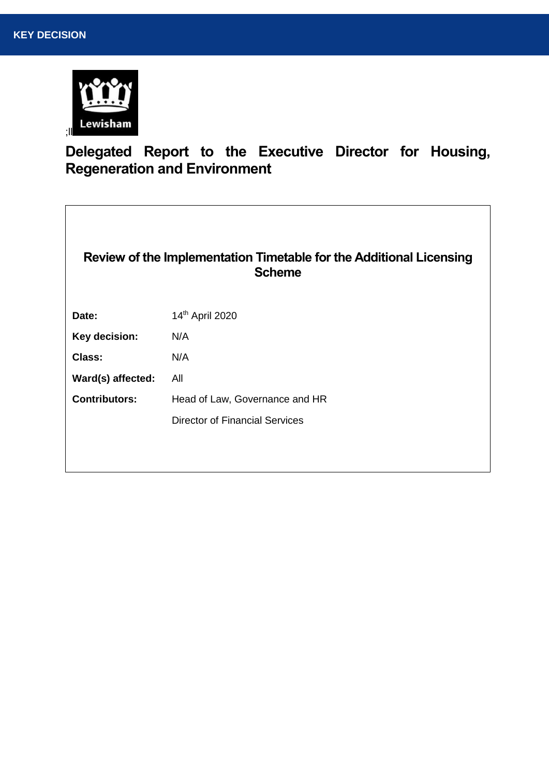

# **Delegated Report to the Executive Director for Housing, Regeneration and Environment**

 $\overline{\phantom{a}}$ 

| Review of the Implementation Timetable for the Additional Licensing<br><b>Scheme</b> |                                       |  |
|--------------------------------------------------------------------------------------|---------------------------------------|--|
| Date:                                                                                | 14th April 2020                       |  |
| Key decision:                                                                        | N/A                                   |  |
| Class:                                                                               | N/A                                   |  |
| Ward(s) affected:                                                                    | All                                   |  |
| <b>Contributors:</b>                                                                 | Head of Law, Governance and HR        |  |
|                                                                                      | <b>Director of Financial Services</b> |  |
|                                                                                      |                                       |  |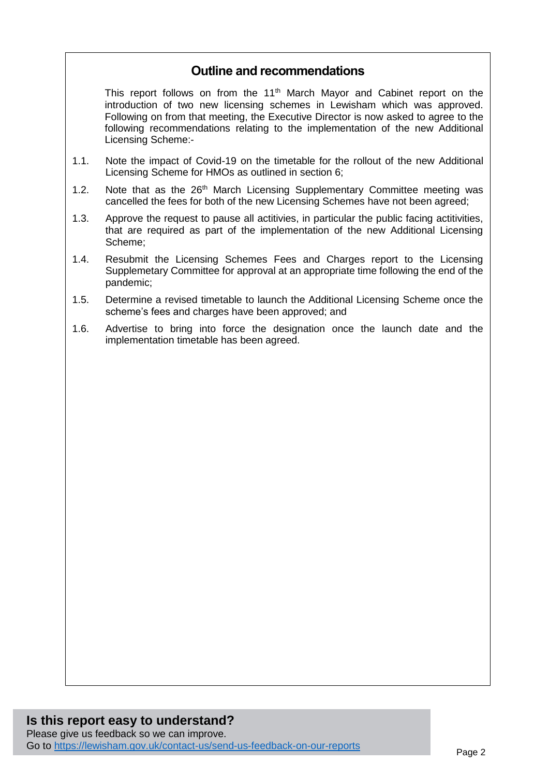# **Outline and recommendations**

This report follows on from the 11<sup>th</sup> March Mayor and Cabinet report on the introduction of two new licensing schemes in Lewisham which was approved. Following on from that meeting, the Executive Director is now asked to agree to the following recommendations relating to the implementation of the new Additional Licensing Scheme:-

- 1.1. Note the impact of Covid-19 on the timetable for the rollout of the new Additional Licensing Scheme for HMOs as outlined in section 6;
- 1.2. Note that as the  $26<sup>th</sup>$  March Licensing Supplementary Committee meeting was cancelled the fees for both of the new Licensing Schemes have not been agreed;
- 1.3. Approve the request to pause all actitivies, in particular the public facing actitivities, that are required as part of the implementation of the new Additional Licensing Scheme;
- 1.4. Resubmit the Licensing Schemes Fees and Charges report to the Licensing Supplemetary Committee for approval at an appropriate time following the end of the pandemic;
- 1.5. Determine a revised timetable to launch the Additional Licensing Scheme once the scheme's fees and charges have been approved; and
- 1.6. Advertise to bring into force the designation once the launch date and the implementation timetable has been agreed.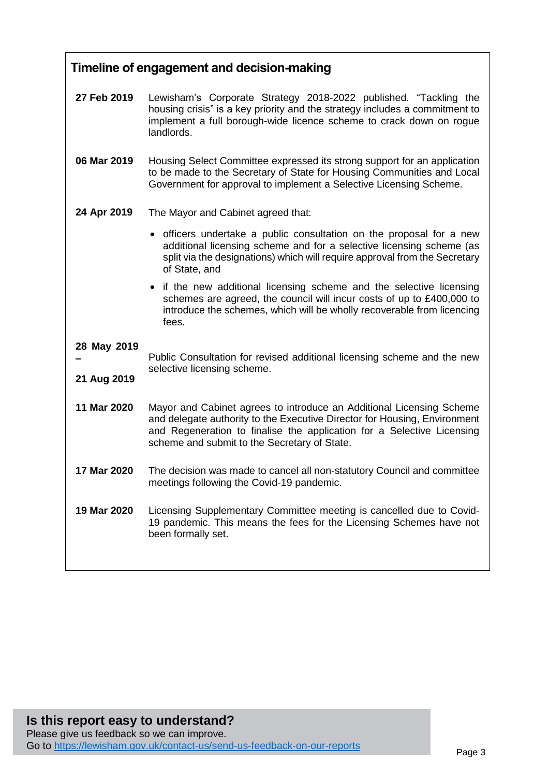| Timeline of engagement and decision-making |                                                                                                                                                                                                                                                                             |  |
|--------------------------------------------|-----------------------------------------------------------------------------------------------------------------------------------------------------------------------------------------------------------------------------------------------------------------------------|--|
| 27 Feb 2019                                | Lewisham's Corporate Strategy 2018-2022 published. "Tackling the<br>housing crisis" is a key priority and the strategy includes a commitment to<br>implement a full borough-wide licence scheme to crack down on rogue<br>landlords.                                        |  |
| 06 Mar 2019                                | Housing Select Committee expressed its strong support for an application<br>to be made to the Secretary of State for Housing Communities and Local<br>Government for approval to implement a Selective Licensing Scheme.                                                    |  |
| 24 Apr 2019                                | The Mayor and Cabinet agreed that:                                                                                                                                                                                                                                          |  |
|                                            | • officers undertake a public consultation on the proposal for a new<br>additional licensing scheme and for a selective licensing scheme (as<br>split via the designations) which will require approval from the Secretary<br>of State, and                                 |  |
|                                            | • if the new additional licensing scheme and the selective licensing<br>schemes are agreed, the council will incur costs of up to £400,000 to<br>introduce the schemes, which will be wholly recoverable from licencing<br>fees.                                            |  |
| 28 May 2019<br>21 Aug 2019                 | Public Consultation for revised additional licensing scheme and the new<br>selective licensing scheme.                                                                                                                                                                      |  |
| 11 Mar 2020                                | Mayor and Cabinet agrees to introduce an Additional Licensing Scheme<br>and delegate authority to the Executive Director for Housing, Environment<br>and Regeneration to finalise the application for a Selective Licensing<br>scheme and submit to the Secretary of State. |  |
| 17 Mar 2020                                | The decision was made to cancel all non-statutory Council and committee<br>meetings following the Covid-19 pandemic.                                                                                                                                                        |  |
| 19 Mar 2020                                | Licensing Supplementary Committee meeting is cancelled due to Covid-<br>19 pandemic. This means the fees for the Licensing Schemes have not<br>been formally set.                                                                                                           |  |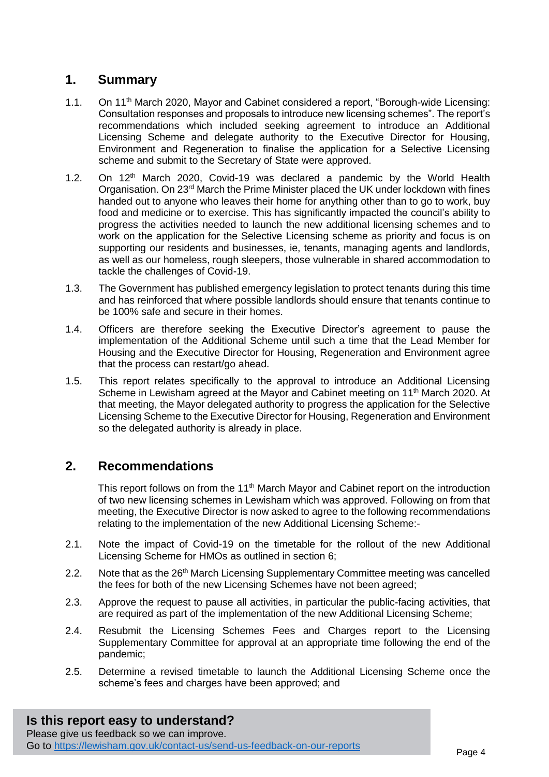# **1. Summary**

- 1.1. On 11<sup>th</sup> March 2020, Mayor and Cabinet considered a report, "Borough-wide Licensing: Consultation responses and proposals to introduce new licensing schemes". The report's recommendations which included seeking agreement to introduce an Additional Licensing Scheme and delegate authority to the Executive Director for Housing, Environment and Regeneration to finalise the application for a Selective Licensing scheme and submit to the Secretary of State were approved.
- 1.2. On 12<sup>th</sup> March 2020, Covid-19 was declared a pandemic by the World Health Organisation. On  $23<sup>rd</sup>$  March the Prime Minister placed the UK under lockdown with fines handed out to anyone who leaves their home for anything other than to go to work, buy food and medicine or to exercise. This has significantly impacted the council's ability to progress the activities needed to launch the new additional licensing schemes and to work on the application for the Selective Licensing scheme as priority and focus is on supporting our residents and businesses, ie, tenants, managing agents and landlords, as well as our homeless, rough sleepers, those vulnerable in shared accommodation to tackle the challenges of Covid-19.
- 1.3. The Government has published emergency legislation to protect tenants during this time and has reinforced that where possible landlords should ensure that tenants continue to be 100% safe and secure in their homes.
- 1.4. Officers are therefore seeking the Executive Director's agreement to pause the implementation of the Additional Scheme until such a time that the Lead Member for Housing and the Executive Director for Housing, Regeneration and Environment agree that the process can restart/go ahead.
- 1.5. This report relates specifically to the approval to introduce an Additional Licensing Scheme in Lewisham agreed at the Mayor and Cabinet meeting on 11<sup>th</sup> March 2020. At that meeting, the Mayor delegated authority to progress the application for the Selective Licensing Scheme to the Executive Director for Housing, Regeneration and Environment so the delegated authority is already in place.

### **2. Recommendations**

This report follows on from the 11<sup>th</sup> March Mayor and Cabinet report on the introduction of two new licensing schemes in Lewisham which was approved. Following on from that meeting, the Executive Director is now asked to agree to the following recommendations relating to the implementation of the new Additional Licensing Scheme:-

- 2.1. Note the impact of Covid-19 on the timetable for the rollout of the new Additional Licensing Scheme for HMOs as outlined in section 6;
- 2.2. Note that as the 26<sup>th</sup> March Licensing Supplementary Committee meeting was cancelled the fees for both of the new Licensing Schemes have not been agreed;
- 2.3. Approve the request to pause all activities, in particular the public-facing activities, that are required as part of the implementation of the new Additional Licensing Scheme;
- 2.4. Resubmit the Licensing Schemes Fees and Charges report to the Licensing Supplementary Committee for approval at an appropriate time following the end of the pandemic;
- 2.5. Determine a revised timetable to launch the Additional Licensing Scheme once the scheme's fees and charges have been approved; and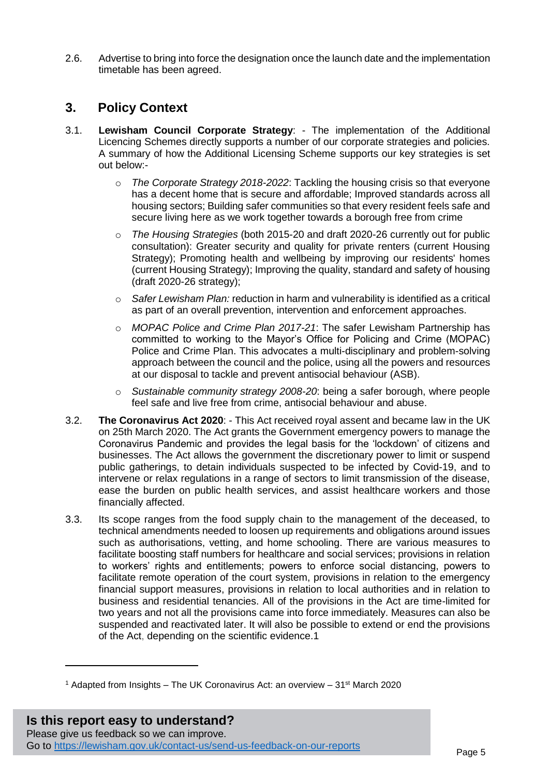2.6. Advertise to bring into force the designation once the launch date and the implementation timetable has been agreed.

### **3. Policy Context**

- 3.1. **Lewisham Council Corporate Strategy**: The implementation of the Additional Licencing Schemes directly supports a number of our corporate strategies and policies. A summary of how the Additional Licensing Scheme supports our key strategies is set out below:
	- o *The Corporate Strategy 2018-2022*: Tackling the housing crisis so that everyone has a decent home that is secure and affordable; Improved standards across all housing sectors; Building safer communities so that every resident feels safe and secure living here as we work together towards a borough free from crime
	- o *The Housing Strategies* (both 2015-20 and draft 2020-26 currently out for public consultation): Greater security and quality for private renters (current Housing Strategy); Promoting health and wellbeing by improving our residents' homes (current Housing Strategy); Improving the quality, standard and safety of housing (draft 2020-26 strategy);
	- o *Safer Lewisham Plan:* reduction in harm and vulnerability is identified as a critical as part of an overall prevention, intervention and enforcement approaches.
	- o *MOPAC Police and Crime Plan 2017-21*: The safer Lewisham Partnership has committed to working to the Mayor's Office for Policing and Crime (MOPAC) Police and Crime Plan. This advocates a multi-disciplinary and problem-solving approach between the council and the police, using all the powers and resources at our disposal to tackle and prevent antisocial behaviour (ASB).
	- o *Sustainable community strategy 2008-20*: being a safer borough, where people feel safe and live free from crime, antisocial behaviour and abuse.
- 3.2. **The Coronavirus Act 2020**: This Act received royal assent and became law in the UK on 25th March 2020. The Act grants the Government emergency powers to manage the Coronavirus Pandemic and provides the legal basis for the 'lockdown' of citizens and businesses. The Act allows the government the discretionary power to limit or suspend public gatherings, to detain individuals suspected to be infected by [Covid-19,](https://en.wikipedia.org/wiki/COVID-19) and to intervene or relax regulations in a range of sectors to limit transmission of the disease, ease the burden on public health services, and assist healthcare workers and those financially affected.
- 3.3. Its scope ranges from the food supply chain to the management of the deceased, to technical amendments needed to loosen up requirements and obligations around issues such as authorisations, vetting, and home schooling. There are various measures to facilitate boosting staff numbers for healthcare and social services; provisions in relation to workers' rights and entitlements; powers to enforce social distancing, powers to facilitate remote operation of the court system, provisions in relation to the emergency financial support measures, provisions in relation to local authorities and in relation to business and residential tenancies. All of the provisions in the Act are time-limited for two years and not all the provisions came into force immediately. Measures can also be suspended and reactivated later. It will also be possible to extend or end the provisions of the Act, depending on the scientific evidence.1

<sup>1</sup> Adapted from Insights – The UK Coronavirus Act: an overview – 31st March 2020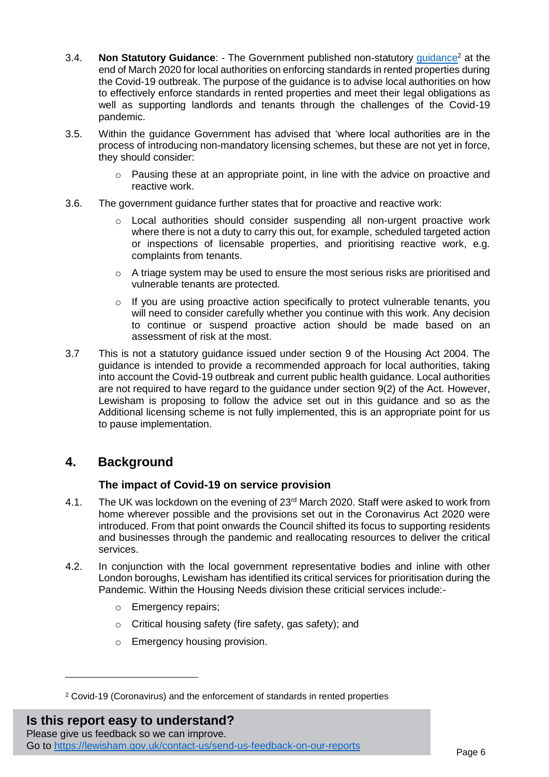- 3.4. **Non Statutory Guidance**: The Government published non-statutory [guidance](https://assets.publishing.service.gov.uk/government/uploads/system/uploads/attachment_data/file/876501/Local_authority_rented_property_COVID_enforcement_guidance_v2.2.pdf)<sup>2</sup> at the end of March 2020 for local authorities on enforcing standards in rented properties during the Covid-19 outbreak. The purpose of the guidance is to advise local authorities on how to effectively enforce standards in rented properties and meet their legal obligations as well as supporting landlords and tenants through the challenges of the Covid-19 pandemic.
- 3.5. Within the guidance Government has advised that 'where local authorities are in the process of introducing non-mandatory licensing schemes, but these are not yet in force, they should consider:
	- o Pausing these at an appropriate point, in line with the advice on proactive and reactive work.
- 3.6. The government guidance further states that for proactive and reactive work:
	- $\circ$  Local authorities should consider suspending all non-urgent proactive work where there is not a duty to carry this out, for example, scheduled targeted action or inspections of licensable properties, and prioritising reactive work, e.g. complaints from tenants.
	- o A triage system may be used to ensure the most serious risks are prioritised and vulnerable tenants are protected.
	- o If you are using proactive action specifically to protect vulnerable tenants, you will need to consider carefully whether you continue with this work. Any decision to continue or suspend proactive action should be made based on an assessment of risk at the most.
- 3.7 This is not a statutory guidance issued under section 9 of the Housing Act 2004. The guidance is intended to provide a recommended approach for local authorities, taking into account the Covid-19 outbreak and current public health guidance. Local authorities are not required to have regard to the guidance under section 9(2) of the Act. However, Lewisham is proposing to follow the advice set out in this guidance and so as the Additional licensing scheme is not fully implemented, this is an appropriate point for us to pause implementation.

# **4. Background**

 $\overline{a}$ 

#### **The impact of Covid-19 on service provision**

- 4.1. The UK was lockdown on the evening of 23rd March 2020. Staff were asked to work from home wherever possible and the provisions set out in the Coronavirus Act 2020 were introduced. From that point onwards the Council shifted its focus to supporting residents and businesses through the pandemic and reallocating resources to deliver the critical services.
- 4.2. In conjunction with the local government representative bodies and inline with other London boroughs, Lewisham has identified its critical services for prioritisation during the Pandemic. Within the Housing Needs division these criticial services include:
	- o Emergency repairs;
	- o Critical housing safety (fire safety, gas safety); and
	- o Emergency housing provision.

**Is this report easy to understand?** Please give us feedback so we can improve. Go to<https://lewisham.gov.uk/contact-us/send-us-feedback-on-our-reports>

<sup>2</sup> Covid-19 (Coronavirus) and the enforcement of standards in rented properties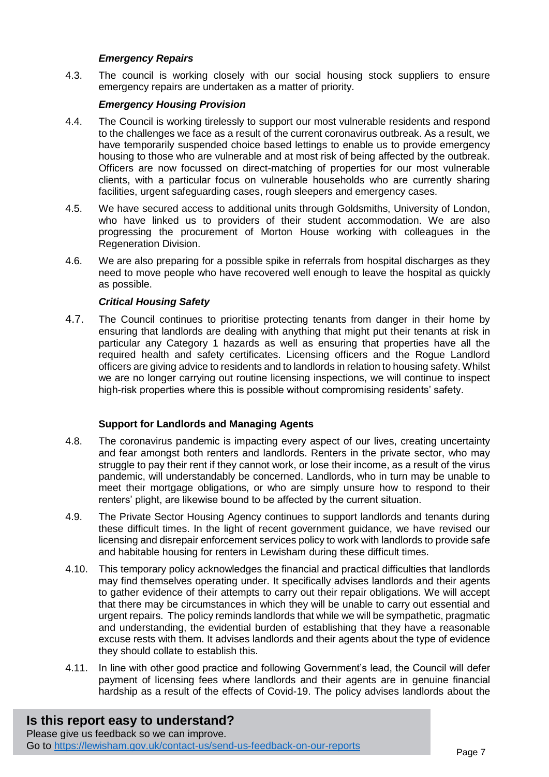#### *Emergency Repairs*

4.3. The council is working closely with our social housing stock suppliers to ensure emergency repairs are undertaken as a matter of priority.

#### *Emergency Housing Provision*

- 4.4. The Council is working tirelessly to support our most vulnerable residents and respond to the challenges we face as a result of the current coronavirus outbreak. As a result, we have temporarily suspended choice based lettings to enable us to provide emergency housing to those who are vulnerable and at most risk of being affected by the outbreak. Officers are now focussed on direct-matching of properties for our most vulnerable clients, with a particular focus on vulnerable households who are currently sharing facilities, urgent safeguarding cases, rough sleepers and emergency cases.
- 4.5. We have secured access to additional units through Goldsmiths, University of London, who have linked us to providers of their student accommodation. We are also progressing the procurement of Morton House working with colleagues in the Regeneration Division.
- 4.6. We are also preparing for a possible spike in referrals from hospital discharges as they need to move people who have recovered well enough to leave the hospital as quickly as possible.

#### *Critical Housing Safety*

4.7. The Council continues to prioritise protecting tenants from danger in their home by ensuring that landlords are dealing with anything that might put their tenants at risk in particular any Category 1 hazards as well as ensuring that properties have all the required health and safety certificates. Licensing officers and the Rogue Landlord officers are giving advice to residents and to landlords in relation to housing safety. Whilst we are no longer carrying out routine licensing inspections, we will continue to inspect high-risk properties where this is possible without compromising residents' safety.

#### **Support for Landlords and Managing Agents**

- 4.8. The coronavirus pandemic is impacting every aspect of our lives, creating uncertainty and fear amongst both renters and landlords. Renters in the private sector, who may struggle to pay their rent if they cannot work, or lose their income, as a result of the virus pandemic, will understandably be concerned. Landlords, who in turn may be unable to meet their mortgage obligations, or who are simply unsure how to respond to their renters' plight, are likewise bound to be affected by the current situation.
- 4.9. The Private Sector Housing Agency continues to support landlords and tenants during these difficult times. In the light of recent government guidance, we have revised our licensing and disrepair enforcement services policy to work with landlords to provide safe and habitable housing for renters in Lewisham during these difficult times.
- 4.10. This temporary policy acknowledges the financial and practical difficulties that landlords may find themselves operating under. It specifically advises landlords and their agents to gather evidence of their attempts to carry out their repair obligations. We will accept that there may be circumstances in which they will be unable to carry out essential and urgent repairs. The policy reminds landlords that while we will be sympathetic, pragmatic and understanding, the evidential burden of establishing that they have a reasonable excuse rests with them. It advises landlords and their agents about the type of evidence they should collate to establish this.
- 4.11. In line with other good practice and following Government's lead, the Council will defer payment of licensing fees where landlords and their agents are in genuine financial hardship as a result of the effects of Covid-19. The policy advises landlords about the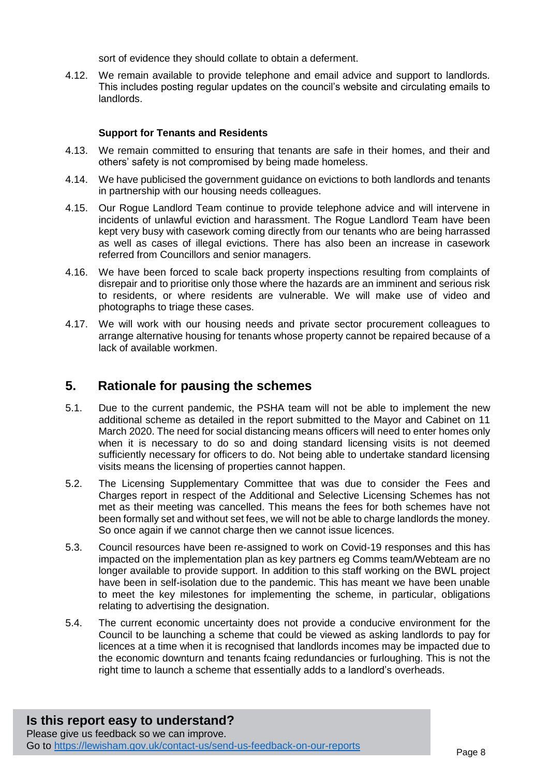sort of evidence they should collate to obtain a deferment.

4.12. We remain available to provide telephone and email advice and support to landlords. This includes posting regular updates on the council's website and circulating emails to landlords.

#### **Support for Tenants and Residents**

- 4.13. We remain committed to ensuring that tenants are safe in their homes, and their and others' safety is not compromised by being made homeless.
- 4.14. We have publicised the government guidance on evictions to both landlords and tenants in partnership with our housing needs colleagues.
- 4.15. Our Rogue Landlord Team continue to provide telephone advice and will intervene in incidents of unlawful eviction and harassment. The Rogue Landlord Team have been kept very busy with casework coming directly from our tenants who are being harrassed as well as cases of illegal evictions. There has also been an increase in casework referred from Councillors and senior managers.
- 4.16. We have been forced to scale back property inspections resulting from complaints of disrepair and to prioritise only those where the hazards are an imminent and serious risk to residents, or where residents are vulnerable. We will make use of video and photographs to triage these cases.
- 4.17. We will work with our housing needs and private sector procurement colleagues to arrange alternative housing for tenants whose property cannot be repaired because of a lack of available workmen.

#### **5. Rationale for pausing the schemes**

- 5.1. Due to the current pandemic, the PSHA team will not be able to implement the new additional scheme as detailed in the report submitted to the Mayor and Cabinet on 11 March 2020. The need for social distancing means officers will need to enter homes only when it is necessary to do so and doing standard licensing visits is not deemed sufficiently necessary for officers to do. Not being able to undertake standard licensing visits means the licensing of properties cannot happen.
- 5.2. The Licensing Supplementary Committee that was due to consider the Fees and Charges report in respect of the Additional and Selective Licensing Schemes has not met as their meeting was cancelled. This means the fees for both schemes have not been formally set and without set fees, we will not be able to charge landlords the money. So once again if we cannot charge then we cannot issue licences.
- 5.3. Council resources have been re-assigned to work on Covid-19 responses and this has impacted on the implementation plan as key partners eg Comms team/Webteam are no longer available to provide support. In addition to this staff working on the BWL project have been in self-isolation due to the pandemic. This has meant we have been unable to meet the key milestones for implementing the scheme, in particular, obligations relating to advertising the designation.
- 5.4. The current economic uncertainty does not provide a conducive environment for the Council to be launching a scheme that could be viewed as asking landlords to pay for licences at a time when it is recognised that landlords incomes may be impacted due to the economic downturn and tenants fcaing redundancies or furloughing. This is not the right time to launch a scheme that essentially adds to a landlord's overheads.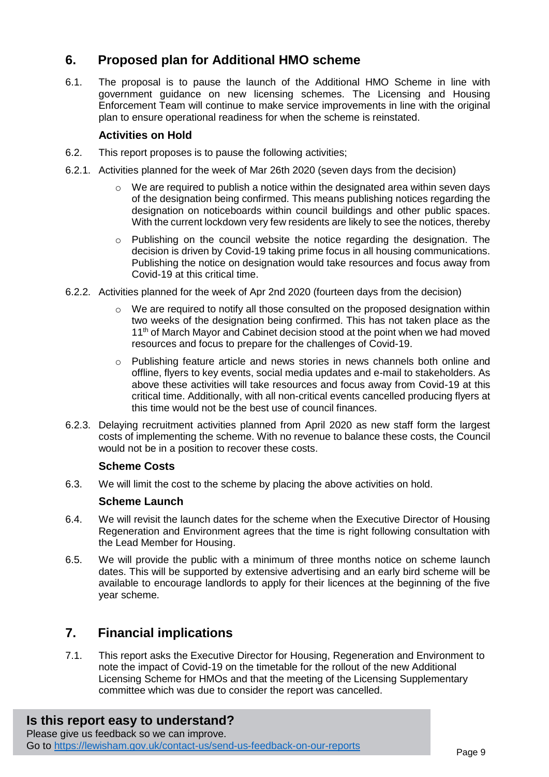# **6. Proposed plan for Additional HMO scheme**

6.1. The proposal is to pause the launch of the Additional HMO Scheme in line with government guidance on new licensing schemes. The Licensing and Housing Enforcement Team will continue to make service improvements in line with the original plan to ensure operational readiness for when the scheme is reinstated.

#### **Activities on Hold**

- 6.2. This report proposes is to pause the following activities;
- 6.2.1. Activities planned for the week of Mar 26th 2020 (seven days from the decision)
	- $\circ$  We are required to publish a notice within the designated area within seven days of the designation being confirmed. This means publishing notices regarding the designation on noticeboards within council buildings and other public spaces. With the current lockdown very few residents are likely to see the notices, thereby
	- $\circ$  Publishing on the council website the notice regarding the designation. The decision is driven by Covid-19 taking prime focus in all housing communications. Publishing the notice on designation would take resources and focus away from Covid-19 at this critical time.
- 6.2.2. Activities planned for the week of Apr 2nd 2020 (fourteen days from the decision)
	- $\circ$  We are required to notify all those consulted on the proposed designation within two weeks of the designation being confirmed. This has not taken place as the 11<sup>th</sup> of March Mayor and Cabinet decision stood at the point when we had moved resources and focus to prepare for the challenges of Covid-19.
	- o Publishing feature article and news stories in news channels both online and offline, flyers to key events, social media updates and e-mail to stakeholders. As above these activities will take resources and focus away from Covid-19 at this critical time. Additionally, with all non-critical events cancelled producing flyers at this time would not be the best use of council finances.
- 6.2.3. Delaying recruitment activities planned from April 2020 as new staff form the largest costs of implementing the scheme. With no revenue to balance these costs, the Council would not be in a position to recover these costs.

#### **Scheme Costs**

6.3. We will limit the cost to the scheme by placing the above activities on hold.

#### **Scheme Launch**

- 6.4. We will revisit the launch dates for the scheme when the Executive Director of Housing Regeneration and Environment agrees that the time is right following consultation with the Lead Member for Housing.
- 6.5. We will provide the public with a minimum of three months notice on scheme launch dates. This will be supported by extensive advertising and an early bird scheme will be available to encourage landlords to apply for their licences at the beginning of the five year scheme.

### **7. Financial implications**

7.1. This report asks the Executive Director for Housing, Regeneration and Environment to note the impact of Covid-19 on the timetable for the rollout of the new Additional Licensing Scheme for HMOs and that the meeting of the Licensing Supplementary committee which was due to consider the report was cancelled.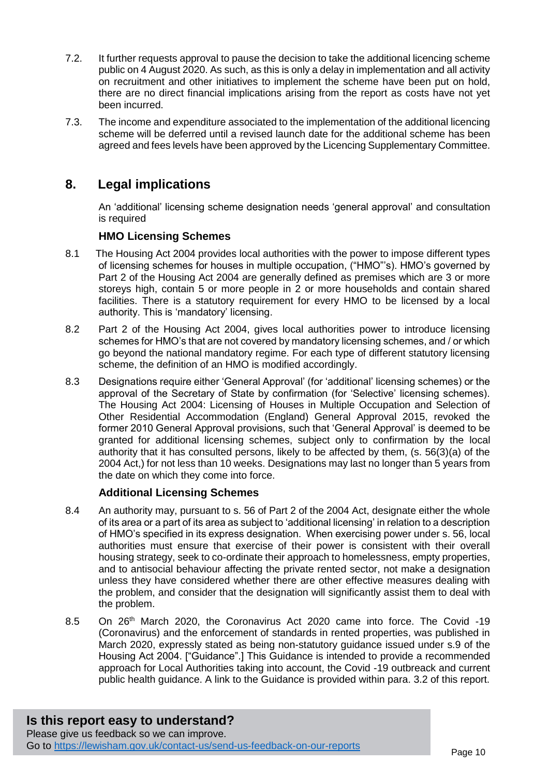- 7.2. It further requests approval to pause the decision to take the additional licencing scheme public on 4 August 2020. As such, as this is only a delay in implementation and all activity on recruitment and other initiatives to implement the scheme have been put on hold, there are no direct financial implications arising from the report as costs have not yet been incurred.
- 7.3. The income and expenditure associated to the implementation of the additional licencing scheme will be deferred until a revised launch date for the additional scheme has been agreed and fees levels have been approved by the Licencing Supplementary Committee.

# **8. Legal implications**

An 'additional' licensing scheme designation needs 'general approval' and consultation is required

#### **HMO Licensing Schemes**

- 8.1 The Housing Act 2004 provides local authorities with the power to impose different types of licensing schemes for houses in multiple occupation, ("HMO"'s). HMO's governed by Part 2 of the Housing Act 2004 are generally defined as premises which are 3 or more storeys high, contain 5 or more people in 2 or more households and contain shared facilities. There is a statutory requirement for every HMO to be licensed by a local authority. This is 'mandatory' licensing.
- 8.2 Part 2 of the Housing Act 2004, gives local authorities power to introduce licensing schemes for HMO's that are not covered by mandatory licensing schemes, and / or which go beyond the national mandatory regime. For each type of different statutory licensing scheme, the definition of an HMO is modified accordingly.
- 8.3 Designations require either 'General Approval' (for 'additional' licensing schemes) or the approval of the Secretary of State by confirmation (for 'Selective' licensing schemes). The Housing Act 2004: Licensing of Houses in Multiple Occupation and Selection of Other Residential Accommodation (England) General Approval 2015, revoked the former 2010 General Approval provisions, such that 'General Approval' is deemed to be granted for additional licensing schemes, subject only to confirmation by the local authority that it has consulted persons, likely to be affected by them, (s. 56(3)(a) of the 2004 Act,) for not less than 10 weeks. Designations may last no longer than 5 years from the date on which they come into force.

#### **Additional Licensing Schemes**

- 8.4 An authority may, pursuant to s. 56 of Part 2 of the 2004 Act, designate either the whole of its area or a part of its area as subject to 'additional licensing' in relation to a description of HMO's specified in its express designation. When exercising power under s. 56, local authorities must ensure that exercise of their power is consistent with their overall housing strategy, seek to co-ordinate their approach to homelessness, empty properties, and to antisocial behaviour affecting the private rented sector, not make a designation unless they have considered whether there are other effective measures dealing with the problem, and consider that the designation will significantly assist them to deal with the problem.
- 8.5 On 26<sup>th</sup> March 2020, the Coronavirus Act 2020 came into force. The Covid -19 (Coronavirus) and the enforcement of standards in rented properties, was published in March 2020, expressly stated as being non-statutory guidance issued under s.9 of the Housing Act 2004. ["Guidance".] This Guidance is intended to provide a recommended approach for Local Authorities taking into account, the Covid -19 outbreack and current public health guidance. A link to the Guidance is provided within para. 3.2 of this report.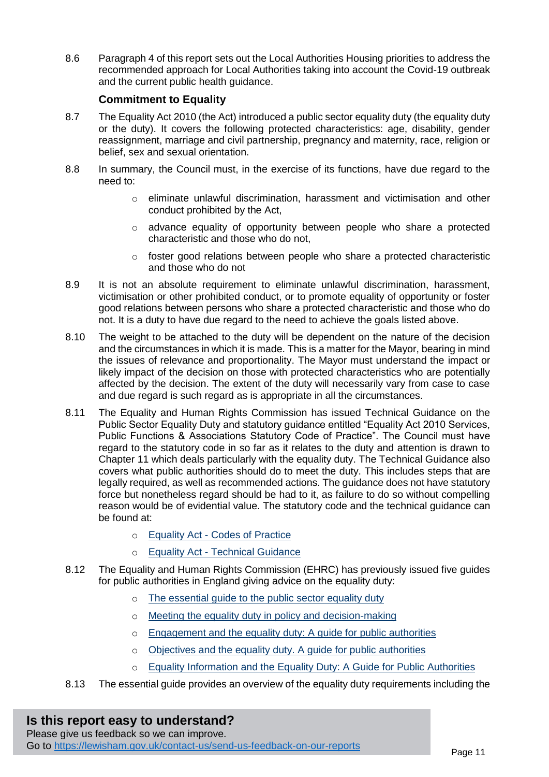8.6 Paragraph 4 of this report sets out the Local Authorities Housing priorities to address the recommended approach for Local Authorities taking into account the Covid-19 outbreak and the current public health guidance.

#### **Commitment to Equality**

- 8.7 The Equality Act 2010 (the Act) introduced a public sector equality duty (the equality duty or the duty). It covers the following protected characteristics: age, disability, gender reassignment, marriage and civil partnership, pregnancy and maternity, race, religion or belief, sex and sexual orientation.
- 8.8 In summary, the Council must, in the exercise of its functions, have due regard to the need to:
	- o eliminate unlawful discrimination, harassment and victimisation and other conduct prohibited by the Act,
	- o advance equality of opportunity between people who share a protected characteristic and those who do not,
	- $\circ$  foster good relations between people who share a protected characteristic and those who do not
- 8.9 It is not an absolute requirement to eliminate unlawful discrimination, harassment, victimisation or other prohibited conduct, or to promote equality of opportunity or foster good relations between persons who share a protected characteristic and those who do not. It is a duty to have due regard to the need to achieve the goals listed above.
- 8.10 The weight to be attached to the duty will be dependent on the nature of the decision and the circumstances in which it is made. This is a matter for the Mayor, bearing in mind the issues of relevance and proportionality. The Mayor must understand the impact or likely impact of the decision on those with protected characteristics who are potentially affected by the decision. The extent of the duty will necessarily vary from case to case and due regard is such regard as is appropriate in all the circumstances.
- 8.11 The Equality and Human Rights Commission has issued Technical Guidance on the Public Sector Equality Duty and statutory guidance entitled "Equality Act 2010 Services, Public Functions & Associations Statutory Code of Practice". The Council must have regard to the statutory code in so far as it relates to the duty and attention is drawn to Chapter 11 which deals particularly with the equality duty. The Technical Guidance also covers what public authorities should do to meet the duty. This includes steps that are legally required, as well as recommended actions. The guidance does not have statutory force but nonetheless regard should be had to it, as failure to do so without compelling reason would be of evidential value. The statutory code and the technical guidance can be found at:
	- o Equality Act [Codes of Practice](https://www.equalityhumanrights.com/en/advice-and-guidance/equality-act-codes-practice)
	- o Equality Act [Technical Guidance](https://www.equalityhumanrights.com/en/advice-and-guidance/equality-act-technical-guidance)
- 8.12 The Equality and Human Rights Commission (EHRC) has previously issued five guides for public authorities in England giving advice on the equality duty:
	- o [The essential guide to the public sector equality duty](https://www.equalityhumanrights.com/en/node/691)
	- o [Meeting the equality duty in policy and decision-making](https://www.equalityhumanrights.com/en/node/562)
	- o [Engagement and the equality duty: A guide for public authorities](https://www.equalityhumanrights.com/en/node/820)
	- o [Objectives and the equality duty. A guide for public authorities](https://www.equalityhumanrights.com/en/node/1461)
	- o [Equality Information and the Equality Duty: A Guide for Public Authorities](https://www.equalityhumanrights.com/en/node/838)
- 8.13 The essential guide provides an overview of the equality duty requirements including the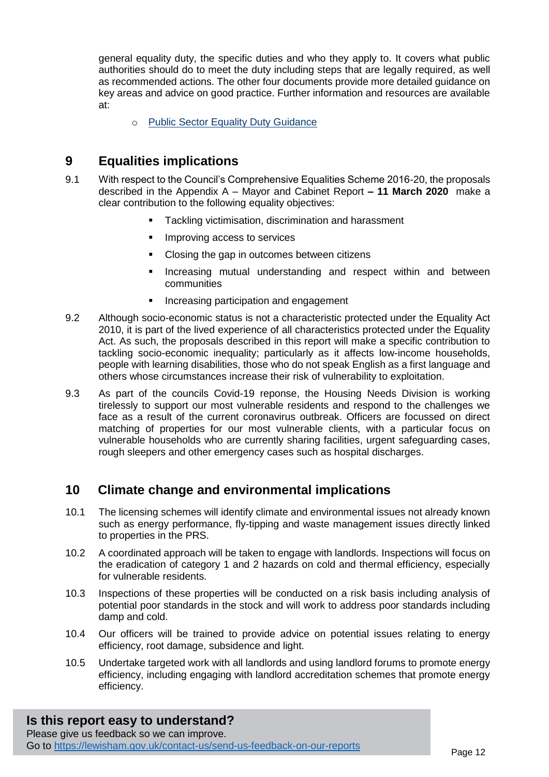general equality duty, the specific duties and who they apply to. It covers what public authorities should do to meet the duty including steps that are legally required, as well as recommended actions. The other four documents provide more detailed guidance on key areas and advice on good practice. Further information and resources are available at:

o [Public Sector Equality Duty Guidance](https://www.equalityhumanrights.com/en/advice-and-guidance/public-sector-equality-duty-guidance#h1)

# **9 Equalities implications**

- 9.1 With respect to the Council's Comprehensive Equalities Scheme 2016-20, the proposals described in the Appendix A – [Mayor and Cabinet Report](#page-13-0) **– 11 March 2020** make a clear contribution to the following equality objectives:
	- Tackling victimisation, discrimination and harassment
	- **IMPROVING ACCESS to services**
	- Closing the gap in outcomes between citizens
	- Increasing mutual understanding and respect within and between communities
	- **Increasing participation and engagement**
- 9.2 Although socio-economic status is not a characteristic protected under the Equality Act 2010, it is part of the lived experience of all characteristics protected under the Equality Act. As such, the proposals described in this report will make a specific contribution to tackling socio-economic inequality; particularly as it affects low-income households, people with learning disabilities, those who do not speak English as a first language and others whose circumstances increase their risk of vulnerability to exploitation.
- 9.3 As part of the councils Covid-19 reponse, the Housing Needs Division is working tirelessly to support our most vulnerable residents and respond to the challenges we face as a result of the current coronavirus outbreak. Officers are focussed on direct matching of properties for our most vulnerable clients, with a particular focus on vulnerable households who are currently sharing facilities, urgent safeguarding cases, rough sleepers and other emergency cases such as hospital discharges.

### **10 Climate change and environmental implications**

- 10.1 The licensing schemes will identify climate and environmental issues not already known such as energy performance, fly-tipping and waste management issues directly linked to properties in the PRS.
- 10.2 A coordinated approach will be taken to engage with landlords. Inspections will focus on the eradication of category 1 and 2 hazards on cold and thermal efficiency, especially for vulnerable residents.
- 10.3 Inspections of these properties will be conducted on a risk basis including analysis of potential poor standards in the stock and will work to address poor standards including damp and cold.
- 10.4 Our officers will be trained to provide advice on potential issues relating to energy efficiency, root damage, subsidence and light.
- 10.5 Undertake targeted work with all landlords and using landlord forums to promote energy efficiency, including engaging with landlord accreditation schemes that promote energy efficiency.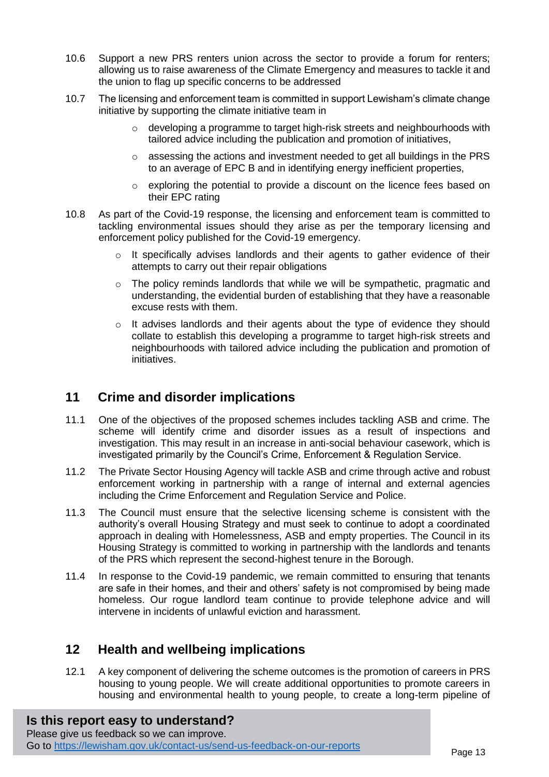- 10.6 Support a new PRS renters union across the sector to provide a forum for renters; allowing us to raise awareness of the Climate Emergency and measures to tackle it and the union to flag up specific concerns to be addressed
- 10.7 The licensing and enforcement team is committed in support Lewisham's climate change initiative by supporting the climate initiative team in
	- $\circ$  developing a programme to target high-risk streets and neighbourhoods with tailored advice including the publication and promotion of initiatives,
	- o assessing the actions and investment needed to get all buildings in the PRS to an average of EPC B and in identifying energy inefficient properties,
	- $\circ$  exploring the potential to provide a discount on the licence fees based on their EPC rating
- 10.8 As part of the Covid-19 response, the licensing and enforcement team is committed to tackling environmental issues should they arise as per the temporary licensing and enforcement policy published for the Covid-19 emergency.
	- o It specifically advises landlords and their agents to gather evidence of their attempts to carry out their repair obligations
	- o The policy reminds landlords that while we will be sympathetic, pragmatic and understanding, the evidential burden of establishing that they have a reasonable excuse rests with them.
	- o It advises landlords and their agents about the type of evidence they should collate to establish this developing a programme to target high-risk streets and neighbourhoods with tailored advice including the publication and promotion of initiatives.

# **11 Crime and disorder implications**

- 11.1 One of the objectives of the proposed schemes includes tackling ASB and crime. The scheme will identify crime and disorder issues as a result of inspections and investigation. This may result in an increase in anti-social behaviour casework, which is investigated primarily by the Council's Crime, Enforcement & Regulation Service.
- 11.2 The Private Sector Housing Agency will tackle ASB and crime through active and robust enforcement working in partnership with a range of internal and external agencies including the Crime Enforcement and Regulation Service and Police.
- 11.3 The Council must ensure that the selective licensing scheme is consistent with the authority's overall Housing Strategy and must seek to continue to adopt a coordinated approach in dealing with Homelessness, ASB and empty properties. The Council in its Housing Strategy is committed to working in partnership with the landlords and tenants of the PRS which represent the second-highest tenure in the Borough.
- 11.4 In response to the Covid-19 pandemic, we remain committed to ensuring that tenants are safe in their homes, and their and others' safety is not compromised by being made homeless. Our rogue landlord team continue to provide telephone advice and will intervene in incidents of unlawful eviction and harassment.

### **12 Health and wellbeing implications**

12.1 A key component of delivering the scheme outcomes is the promotion of careers in PRS housing to young people. We will create additional opportunities to promote careers in housing and environmental health to young people, to create a long-term pipeline of